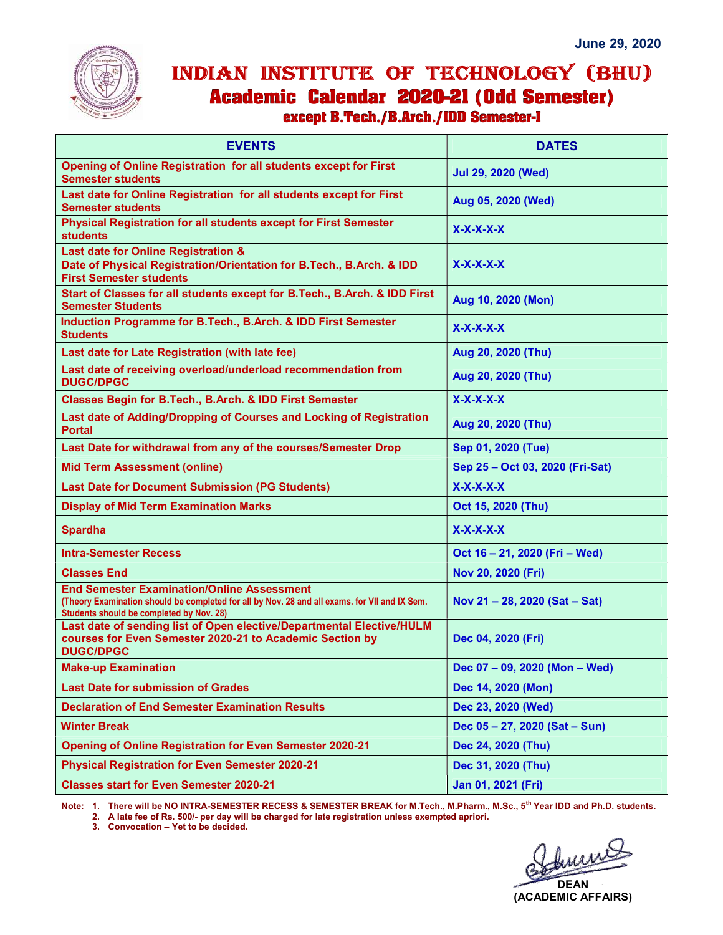

## INDIAN INSTITUTE OF TECHNOLOGY (BHU) I

| <b>EVENTS</b>                                                                                                                                                                                  | <b>DATES</b>                    |
|------------------------------------------------------------------------------------------------------------------------------------------------------------------------------------------------|---------------------------------|
| Opening of Online Registration for all students except for First<br><b>Semester students</b>                                                                                                   | <b>Jul 29, 2020 (Wed)</b>       |
| Last date for Online Registration for all students except for First<br><b>Semester students</b>                                                                                                | Aug 05, 2020 (Wed)              |
| <b>Physical Registration for all students except for First Semester</b><br><b>students</b>                                                                                                     | $X-X-X-X$                       |
| Last date for Online Registration &<br>Date of Physical Registration/Orientation for B.Tech., B.Arch. & IDD<br><b>First Semester students</b>                                                  | $X-X-X-X$                       |
| Start of Classes for all students except for B. Tech., B. Arch. & IDD First<br><b>Semester Students</b>                                                                                        | Aug 10, 2020 (Mon)              |
| Induction Programme for B.Tech., B.Arch. & IDD First Semester<br><b>Students</b>                                                                                                               | $X-X-X-X$                       |
| Last date for Late Registration (with late fee)                                                                                                                                                | Aug 20, 2020 (Thu)              |
| Last date of receiving overload/underload recommendation from<br><b>DUGC/DPGC</b>                                                                                                              | Aug 20, 2020 (Thu)              |
| Classes Begin for B.Tech., B.Arch. & IDD First Semester                                                                                                                                        | $X-X-X-X$                       |
| Last date of Adding/Dropping of Courses and Locking of Registration<br><b>Portal</b>                                                                                                           | Aug 20, 2020 (Thu)              |
| Last Date for withdrawal from any of the courses/Semester Drop                                                                                                                                 | Sep 01, 2020 (Tue)              |
| <b>Mid Term Assessment (online)</b>                                                                                                                                                            | Sep 25 - Oct 03, 2020 (Fri-Sat) |
| <b>Last Date for Document Submission (PG Students)</b>                                                                                                                                         | $X-X-X-X$                       |
| <b>Display of Mid Term Examination Marks</b>                                                                                                                                                   | Oct 15, 2020 (Thu)              |
| <b>Spardha</b>                                                                                                                                                                                 | $X-X-X-X$                       |
| <b>Intra-Semester Recess</b>                                                                                                                                                                   | Oct 16 - 21, 2020 (Fri - Wed)   |
| <b>Classes End</b>                                                                                                                                                                             | Nov 20, 2020 (Fri)              |
| <b>End Semester Examination/Online Assessment</b><br>(Theory Examination should be completed for all by Nov. 28 and all exams. for VII and IX Sem.<br>Students should be completed by Nov. 28) | Nov 21-28, 2020 (Sat-Sat)       |
| Last date of sending list of Open elective/Departmental Elective/HULM<br>courses for Even Semester 2020-21 to Academic Section by<br><b>DUGC/DPGC</b>                                          | Dec 04, 2020 (Fri)              |
| <b>Make-up Examination</b>                                                                                                                                                                     | Dec 07 - 09, 2020 (Mon - Wed)   |
| <b>Last Date for submission of Grades</b>                                                                                                                                                      | Dec 14, 2020 (Mon)              |
| <b>Declaration of End Semester Examination Results</b>                                                                                                                                         | Dec 23, 2020 (Wed)              |
| <b>Winter Break</b>                                                                                                                                                                            | Dec 05 - 27, 2020 (Sat - Sun)   |
| <b>Opening of Online Registration for Even Semester 2020-21</b>                                                                                                                                | Dec 24, 2020 (Thu)              |
| <b>Physical Registration for Even Semester 2020-21</b>                                                                                                                                         | Dec 31, 2020 (Thu)              |
| <b>Classes start for Even Semester 2020-21</b>                                                                                                                                                 | Jan 01, 2021 (Fri)              |

Note: 1. There will be NO INTRA-SEMESTER RECESS & SEMESTER BREAK for M.Tech., M.Pharm., M.Sc., 5th Year IDD and Ph.D. students. 2. A late fee of Rs. 500/- per day will be charged for late registration unless exempted apriori.

3. Convocation – Yet to be decided.

**DEAN** (ACADEMIC AFFAIRS)